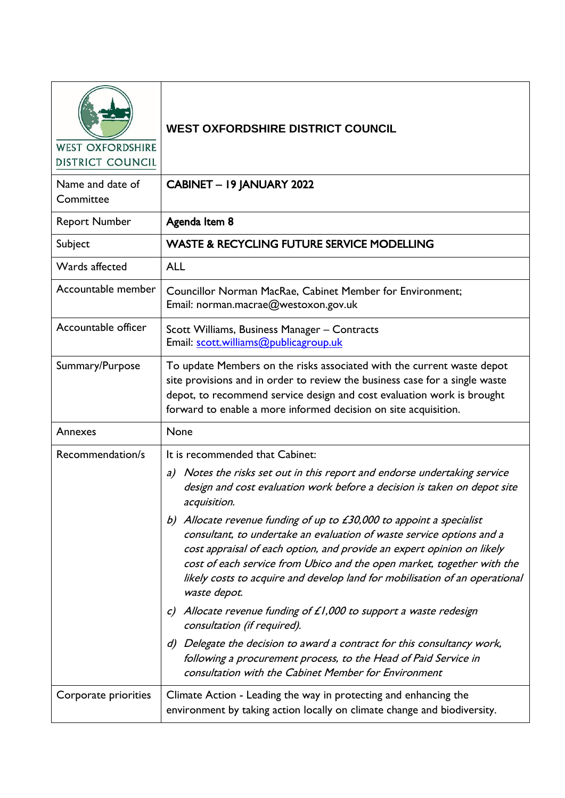| <b>WEST OXFORDSHIRE</b> |
|-------------------------|

**WEST OXFORDSHIRE DISTRICT COUNCIL**

| <b>DISTRICT COUNCIL</b>       |                                                                                                                                                                                                                                                                                                                                                                                                  |
|-------------------------------|--------------------------------------------------------------------------------------------------------------------------------------------------------------------------------------------------------------------------------------------------------------------------------------------------------------------------------------------------------------------------------------------------|
| Name and date of<br>Committee | CABINET - 19 JANUARY 2022                                                                                                                                                                                                                                                                                                                                                                        |
| <b>Report Number</b>          | Agenda Item 8                                                                                                                                                                                                                                                                                                                                                                                    |
| Subject                       | <b>WASTE &amp; RECYCLING FUTURE SERVICE MODELLING</b>                                                                                                                                                                                                                                                                                                                                            |
| Wards affected                | <b>ALL</b>                                                                                                                                                                                                                                                                                                                                                                                       |
| Accountable member            | Councillor Norman MacRae, Cabinet Member for Environment;<br>Email: norman.macrae@westoxon.gov.uk                                                                                                                                                                                                                                                                                                |
| Accountable officer           | Scott Williams, Business Manager - Contracts<br>Email: scott.williams@publicagroup.uk                                                                                                                                                                                                                                                                                                            |
| Summary/Purpose               | To update Members on the risks associated with the current waste depot<br>site provisions and in order to review the business case for a single waste<br>depot, to recommend service design and cost evaluation work is brought<br>forward to enable a more informed decision on site acquisition.                                                                                               |
| Annexes                       | None                                                                                                                                                                                                                                                                                                                                                                                             |
| Recommendation/s              | It is recommended that Cabinet:                                                                                                                                                                                                                                                                                                                                                                  |
|                               | a) Notes the risks set out in this report and endorse undertaking service<br>design and cost evaluation work before a decision is taken on depot site<br>acquisition.                                                                                                                                                                                                                            |
|                               | b) Allocate revenue funding of up to £30,000 to appoint a specialist<br>consultant, to undertake an evaluation of waste service options and a<br>cost appraisal of each option, and provide an expert opinion on likely<br>cost of each service from Ubico and the open market, together with the<br>likely costs to acquire and develop land for mobilisation of an operational<br>waste depot. |
|                               | Allocate revenue funding of £1,000 to support a waste redesign<br>c)<br>consultation (if required).                                                                                                                                                                                                                                                                                              |
|                               | Delegate the decision to award a contract for this consultancy work,<br>d)<br>following a procurement process, to the Head of Paid Service in<br>consultation with the Cabinet Member for Environment                                                                                                                                                                                            |
| Corporate priorities          | Climate Action - Leading the way in protecting and enhancing the<br>environment by taking action locally on climate change and biodiversity.                                                                                                                                                                                                                                                     |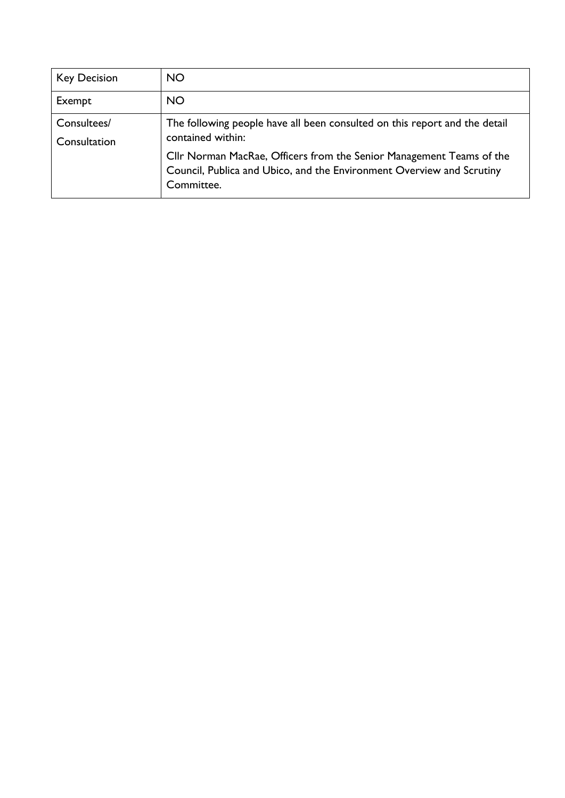| <b>Key Decision</b>         | <b>NO</b>                                                                                                                                                   |
|-----------------------------|-------------------------------------------------------------------------------------------------------------------------------------------------------------|
| Exempt                      | <b>NO</b>                                                                                                                                                   |
| Consultees/<br>Consultation | The following people have all been consulted on this report and the detail<br>contained within:                                                             |
|                             | Cllr Norman MacRae, Officers from the Senior Management Teams of the<br>Council, Publica and Ubico, and the Environment Overview and Scrutiny<br>Committee. |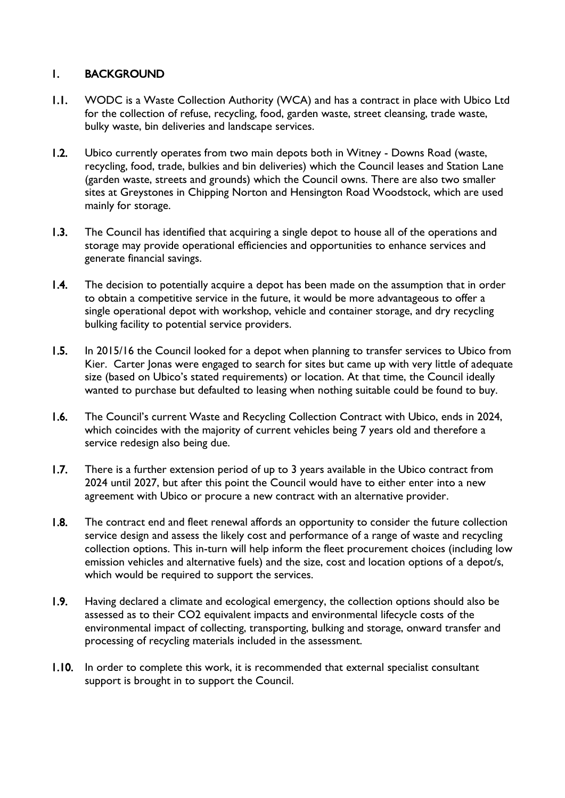### 1. BACKGROUND

- 1.1. WODC is a Waste Collection Authority (WCA) and has a contract in place with Ubico Ltd for the collection of refuse, recycling, food, garden waste, street cleansing, trade waste, bulky waste, bin deliveries and landscape services.
- 1.2. Ubico currently operates from two main depots both in Witney Downs Road (waste, recycling, food, trade, bulkies and bin deliveries) which the Council leases and Station Lane (garden waste, streets and grounds) which the Council owns. There are also two smaller sites at Greystones in Chipping Norton and Hensington Road Woodstock, which are used mainly for storage.
- 1.3. The Council has identified that acquiring a single depot to house all of the operations and storage may provide operational efficiencies and opportunities to enhance services and generate financial savings.
- 1.4. The decision to potentially acquire a depot has been made on the assumption that in order to obtain a competitive service in the future, it would be more advantageous to offer a single operational depot with workshop, vehicle and container storage, and dry recycling bulking facility to potential service providers.
- 1.5. In 2015/16 the Council looked for a depot when planning to transfer services to Ubico from Kier. Carter Jonas were engaged to search for sites but came up with very little of adequate size (based on Ubico's stated requirements) or location. At that time, the Council ideally wanted to purchase but defaulted to leasing when nothing suitable could be found to buy.
- 1.6. The Council's current Waste and Recycling Collection Contract with Ubico, ends in 2024, which coincides with the majority of current vehicles being 7 years old and therefore a service redesign also being due.
- 1.7. There is a further extension period of up to 3 years available in the Ubico contract from 2024 until 2027, but after this point the Council would have to either enter into a new agreement with Ubico or procure a new contract with an alternative provider.
- 1.8. The contract end and fleet renewal affords an opportunity to consider the future collection service design and assess the likely cost and performance of a range of waste and recycling collection options. This in-turn will help inform the fleet procurement choices (including low emission vehicles and alternative fuels) and the size, cost and location options of a depot/s, which would be required to support the services.
- 1.9. Having declared a climate and ecological emergency, the collection options should also be assessed as to their CO2 equivalent impacts and environmental lifecycle costs of the environmental impact of collecting, transporting, bulking and storage, onward transfer and processing of recycling materials included in the assessment.
- 1.10. In order to complete this work, it is recommended that external specialist consultant support is brought in to support the Council.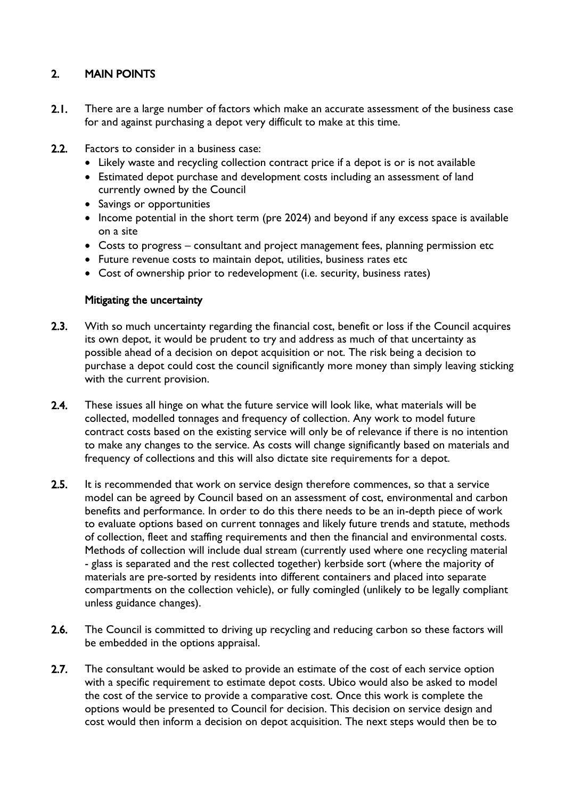# 2. MAIN POINTS

- 2.1. There are a large number of factors which make an accurate assessment of the business case for and against purchasing a depot very difficult to make at this time.
- 2.2. Factors to consider in a business case:
	- Likely waste and recycling collection contract price if a depot is or is not available
	- Estimated depot purchase and development costs including an assessment of land currently owned by the Council
	- Savings or opportunities
	- Income potential in the short term (pre 2024) and beyond if any excess space is available on a site
	- Costs to progress consultant and project management fees, planning permission etc
	- Future revenue costs to maintain depot, utilities, business rates etc
	- Cost of ownership prior to redevelopment (i.e. security, business rates)

#### Mitigating the uncertainty

- 2.3. With so much uncertainty regarding the financial cost, benefit or loss if the Council acquires its own depot, it would be prudent to try and address as much of that uncertainty as possible ahead of a decision on depot acquisition or not. The risk being a decision to purchase a depot could cost the council significantly more money than simply leaving sticking with the current provision.
- 2.4. These issues all hinge on what the future service will look like, what materials will be collected, modelled tonnages and frequency of collection. Any work to model future contract costs based on the existing service will only be of relevance if there is no intention to make any changes to the service. As costs will change significantly based on materials and frequency of collections and this will also dictate site requirements for a depot.
- 2.5. It is recommended that work on service design therefore commences, so that a service model can be agreed by Council based on an assessment of cost, environmental and carbon benefits and performance. In order to do this there needs to be an in-depth piece of work to evaluate options based on current tonnages and likely future trends and statute, methods of collection, fleet and staffing requirements and then the financial and environmental costs. Methods of collection will include dual stream (currently used where one recycling material - glass is separated and the rest collected together) kerbside sort (where the majority of materials are pre-sorted by residents into different containers and placed into separate compartments on the collection vehicle), or fully comingled (unlikely to be legally compliant unless guidance changes).
- 2.6. The Council is committed to driving up recycling and reducing carbon so these factors will be embedded in the options appraisal.
- 2.7. The consultant would be asked to provide an estimate of the cost of each service option with a specific requirement to estimate depot costs. Ubico would also be asked to model the cost of the service to provide a comparative cost. Once this work is complete the options would be presented to Council for decision. This decision on service design and cost would then inform a decision on depot acquisition. The next steps would then be to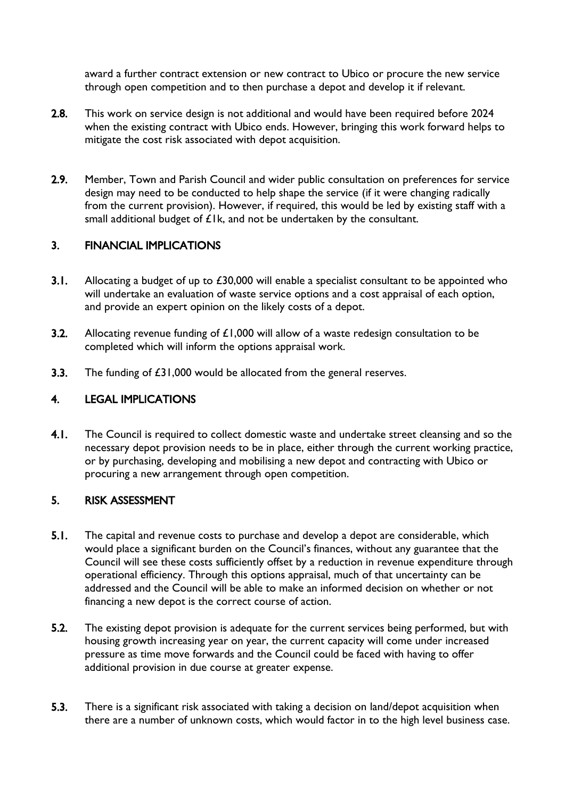award a further contract extension or new contract to Ubico or procure the new service through open competition and to then purchase a depot and develop it if relevant.

- 2.8. This work on service design is not additional and would have been required before 2024 when the existing contract with Ubico ends. However, bringing this work forward helps to mitigate the cost risk associated with depot acquisition.
- 2.9. Member, Town and Parish Council and wider public consultation on preferences for service design may need to be conducted to help shape the service (if it were changing radically from the current provision). However, if required, this would be led by existing staff with a small additional budget of £1k, and not be undertaken by the consultant.

## 3. FINANCIAL IMPLICATIONS

- 3.1. Allocating a budget of up to £30,000 will enable a specialist consultant to be appointed who will undertake an evaluation of waste service options and a cost appraisal of each option, and provide an expert opinion on the likely costs of a depot.
- 3.2. Allocating revenue funding of £1,000 will allow of a waste redesign consultation to be completed which will inform the options appraisal work.
- 3.3. The funding of £31,000 would be allocated from the general reserves.

### 4. LEGAL IMPLICATIONS

4.1. The Council is required to collect domestic waste and undertake street cleansing and so the necessary depot provision needs to be in place, either through the current working practice, or by purchasing, developing and mobilising a new depot and contracting with Ubico or procuring a new arrangement through open competition.

#### 5. RISK ASSESSMENT

- 5.1. The capital and revenue costs to purchase and develop a depot are considerable, which would place a significant burden on the Council's finances, without any guarantee that the Council will see these costs sufficiently offset by a reduction in revenue expenditure through operational efficiency. Through this options appraisal, much of that uncertainty can be addressed and the Council will be able to make an informed decision on whether or not financing a new depot is the correct course of action.
- 5.2. The existing depot provision is adequate for the current services being performed, but with housing growth increasing year on year, the current capacity will come under increased pressure as time move forwards and the Council could be faced with having to offer additional provision in due course at greater expense.
- 5.3. There is a significant risk associated with taking a decision on land/depot acquisition when there are a number of unknown costs, which would factor in to the high level business case.